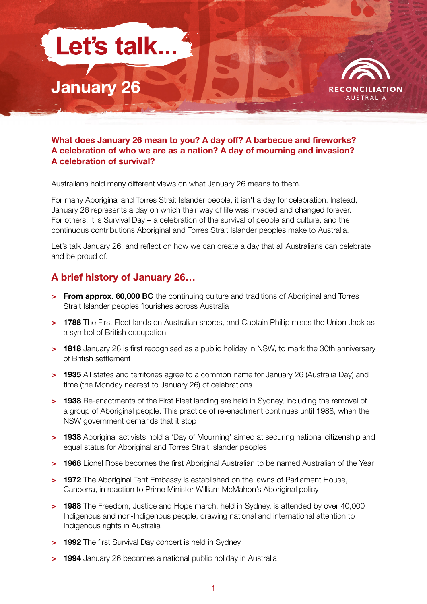



#### **What does January 26 mean to you? A day off? A barbecue and fireworks? A celebration of who we are as a nation? A day of mourning and invasion? A celebration of survival?**

Australians hold many different views on what January 26 means to them.

For many Aboriginal and Torres Strait Islander people, it isn't a day for celebration. Instead, January 26 represents a day on which their way of life was invaded and changed forever. For others, it is Survival Day – a celebration of the survival of people and culture, and the continuous contributions Aboriginal and Torres Strait Islander peoples make to Australia.

Let's talk January 26, and reflect on how we can create a day that all Australians can celebrate and be proud of.

# **A brief history of January 26…**

- **> From approx. 60,000 BC** the continuing culture and traditions of Aboriginal and Torres Strait Islander peoples flourishes across Australia
- **> 1788** The First Fleet lands on Australian shores, and Captain Phillip raises the Union Jack as a symbol of British occupation
- **> 1818** January 26 is first recognised as a public holiday in NSW, to mark the 30th anniversary of British settlement
- **> 1935** All states and territories agree to a common name for January 26 (Australia Day) and time (the Monday nearest to January 26) of celebrations
- **> 1938** Re-enactments of the First Fleet landing are held in Sydney, including the removal of a group of Aboriginal people. This practice of re-enactment continues until 1988, when the NSW government demands that it stop
- **> 1938** Aboriginal activists hold a 'Day of Mourning' aimed at securing national citizenship and equal status for Aboriginal and Torres Strait Islander peoples
- **> 1968** Lionel Rose becomes the first Aboriginal Australian to be named Australian of the Year
- **> 1972** The Aboriginal Tent Embassy is established on the lawns of Parliament House, Canberra, in reaction to Prime Minister William McMahon's Aboriginal policy
- **> 1988** The Freedom, Justice and Hope march, held in Sydney, is attended by over 40,000 Indigenous and non-Indigenous people, drawing national and international attention to Indigenous rights in Australia
- **> 1992** The first Survival Day concert is held in Sydney
- **> 1994** January 26 becomes a national public holiday in Australia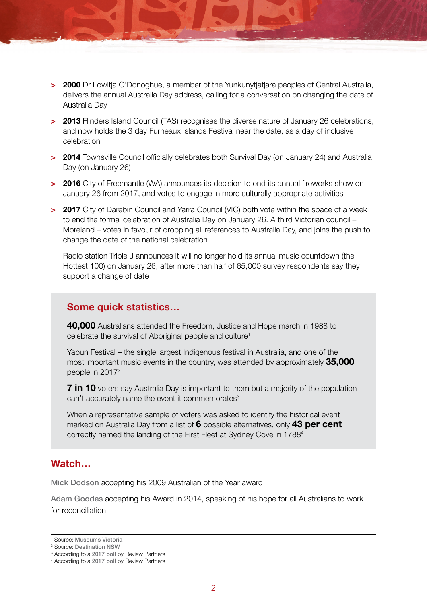- **> 2000** Dr Lowitja O'Donoghue, a member of the Yunkunytjatjara peoples of Central Australia, delivers the annual Australia Day address, calling for a conversation on changing the date of Australia Day
- **> 2013** Flinders Island Council (TAS) recognises the diverse nature of January 26 celebrations, and now holds the 3 day Furneaux Islands Festival near the date, as a day of inclusive celebration
- **> 2014** Townsville Council officially celebrates both Survival Day (on January 24) and Australia Day (on January 26)
- **> 2016** City of Freemantle (WA) announces its decision to end its annual fireworks show on January 26 from 2017, and votes to engage in more culturally appropriate activities
- **> 2017** City of Darebin Council and Yarra Council (VIC) both vote within the space of a week to end the formal celebration of Australia Day on January 26. A third Victorian council – Moreland – votes in favour of dropping all references to Australia Day, and joins the push to change the date of the national celebration

Radio station Triple J announces it will no longer hold its annual music countdown (the Hottest 100) on January 26, after more than half of 65,000 survey respondents say they support a change of date

### **Some quick statistics…**

**40,000** Australians attended the Freedom, Justice and Hope march in 1988 to celebrate the survival of Aboriginal people and culture<sup>1</sup>

Yabun Festival – the single largest Indigenous festival in Australia, and one of the most important music events in the country, was attended by approximately **35,000** people in 20172

**7 in 10** voters say Australia Day is important to them but a majority of the population can't accurately name the event it commemorates<sup>3</sup>

When a representative sample of voters was asked to identify the historical event marked on Australia Day from a list of **6** possible alternatives, only **43 per cent** correctly named the landing of the First Fleet at Sydney Cove in 17884

### **Watch…**

[Mick Dodson](http://www.youtube.com/watch?v=sonB7uLmOuw) accepting his 2009 Australian of the Year award

[Adam Goodes](https://www.youtube.com/watch?v=3EV-cLb_Ttg) accepting his Award in 2014, speaking of his hope for all Australians to work for reconciliation

<sup>1</sup> Source: [Museums Victoria](https://collections.museumvictoria.com.au/articles/2835)

<sup>2</sup> Source: [Destination NSW](https://www.destinationnsw.com.au/wp-content/uploads/2013/08/aboriginal-tourism-action-plan-2013-2016-year-three-progress-report.pdf)

<sup>&</sup>lt;sup>3</sup> According to a [2017 poll](http://docs.wixstatic.com/ugd/1316a9_a1041ca685c24838a9d6ab4a0418005b.pdf) by Review Partners

<sup>4</sup> According to a [2017 poll](http://docs.wixstatic.com/ugd/1316a9_a1041ca685c24838a9d6ab4a0418005b.pdf) by Review Partners